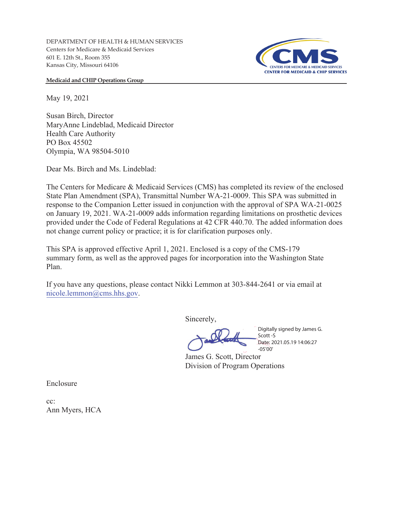DEPARTMENT OF HEALTH & HUMAN SERVICES Centers for Medicare & Medicaid Services 601 E. 12th St., Room 355 Kansas City, Missouri 64106



**Medicaid and CHIP Operations Group** 

May 19, 2021

Susan Birch, Director MaryAnne Lindeblad, Medicaid Director Health Care Authority PO Box 45502 Olympia, WA 98504-5010

Dear Ms. Birch and Ms. Lindeblad:

The Centers for Medicare & Medicaid Services (CMS) has completed its review of the enclosed State Plan Amendment (SPA), Transmittal Number WA-21-0009. This SPA was submitted in response to the Companion Letter issued in conjunction with the approval of SPA WA-21-0025 on January 19, 2021. WA-21-0009 adds information regarding limitations on prosthetic devices provided under the Code of Federal Regulations at 42 CFR 440.70. The added information does not change current policy or practice; it is for clarification purposes only.

This SPA is approved effective April 1, 2021. Enclosed is a copy of the CMS-179 summary form, as well as the approved pages for incorporation into the Washington State Plan.

If you have any questions, please contact Nikki Lemmon at 303-844-2641 or via email at nicole.lemmon@cms.hhs.gov.

Sincerely,

Digitally signed by James G. Scott -S Date: 2021.05.19 14:06:27 -05'00'

James G. Scott, Director Division of Program Operations

Enclosure

cc: Ann Myers, HCA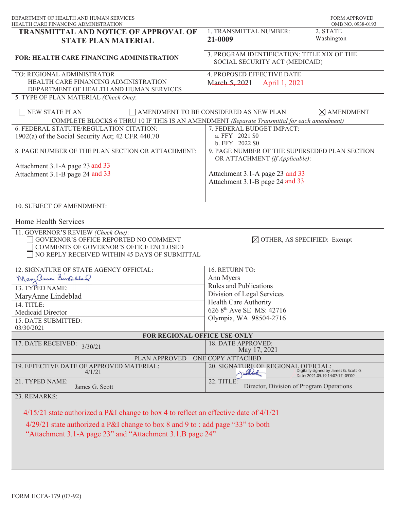| DEPARTMENT OF HEALTH AND HUMAN SERVICES<br>HEALTH CARE FINANCING ADMINISTRATION                                                                                                |                                                                                 | <b>FORM APPROVED</b><br>OMB NO. 0938-0193                                  |
|--------------------------------------------------------------------------------------------------------------------------------------------------------------------------------|---------------------------------------------------------------------------------|----------------------------------------------------------------------------|
| <b>TRANSMITTAL AND NOTICE OF APPROVAL OF</b><br><b>STATE PLAN MATERIAL</b>                                                                                                     | 1. TRANSMITTAL NUMBER:<br>21-0009                                               | 2. STATE<br>Washington                                                     |
| FOR: HEALTH CARE FINANCING ADMINISTRATION                                                                                                                                      | 3. PROGRAM IDENTIFICATION: TITLE XIX OF THE<br>SOCIAL SECURITY ACT (MEDICAID)   |                                                                            |
| TO: REGIONAL ADMINISTRATOR<br>HEALTH CARE FINANCING ADMINISTRATION<br>DEPARTMENT OF HEALTH AND HUMAN SERVICES<br>5. TYPE OF PLAN MATERIAL (Check One):                         | 4. PROPOSED EFFECTIVE DATE<br>March 5, 2021<br>April 1, 2021                    |                                                                            |
| <b>NEW STATE PLAN</b>                                                                                                                                                          | AMENDMENT TO BE CONSIDERED AS NEW PLAN                                          | $\times$ AMENDMENT                                                         |
| COMPLETE BLOCKS 6 THRU 10 IF THIS IS AN AMENDMENT (Separate Transmittal for each amendment)                                                                                    |                                                                                 |                                                                            |
| 6. FEDERAL STATUTE/REGULATION CITATION:<br>1902(a) of the Social Security Act; 42 CFR 440.70                                                                                   | 7. FEDERAL BUDGET IMPACT:<br>a. FFY 2021 \$0<br>b. FFY 2022 \$0                 |                                                                            |
| 8. PAGE NUMBER OF THE PLAN SECTION OR ATTACHMENT:                                                                                                                              | 9. PAGE NUMBER OF THE SUPERSEDED PLAN SECTION<br>OR ATTACHMENT (If Applicable): |                                                                            |
| Attachment 3.1-A page 23 and 33<br>Attachment 3.1-B page 24 and 33                                                                                                             | Attachment 3.1-A page 23 and 33<br>Attachment 3.1-B page 24 and 33              |                                                                            |
| 10. SUBJECT OF AMENDMENT:                                                                                                                                                      |                                                                                 |                                                                            |
| Home Health Services                                                                                                                                                           |                                                                                 |                                                                            |
| 11. GOVERNOR'S REVIEW (Check One):<br>GOVERNOR'S OFFICE REPORTED NO COMMENT<br>COMMENTS OF GOVERNOR'S OFFICE ENCLOSED<br>NO REPLY RECEIVED WITHIN 45 DAYS OF SUBMITTAL         | $\boxtimes$ OTHER, AS SPECIFIED: Exempt                                         |                                                                            |
| 12. SIGNATURE OF STATE AGENCY OFFICIAL:                                                                                                                                        | 16. RETURN TO:                                                                  |                                                                            |
| Mary anne Swelland                                                                                                                                                             | Ann Myers                                                                       |                                                                            |
| 13. TYPED NAME:                                                                                                                                                                | <b>Rules and Publications</b>                                                   |                                                                            |
|                                                                                                                                                                                | Division of Legal Services                                                      |                                                                            |
| MaryAnne Lindeblad<br>14. TITLE:                                                                                                                                               | Health Care Authority                                                           |                                                                            |
| Medicaid Director                                                                                                                                                              | 626 8 <sup>th</sup> Ave SE MS: 42716                                            |                                                                            |
| 15. DATE SUBMITTED:                                                                                                                                                            | Olympia, WA 98504-2716                                                          |                                                                            |
| 03/30/2021                                                                                                                                                                     |                                                                                 |                                                                            |
| FOR REGIONAL OFFICE USE ONLY                                                                                                                                                   |                                                                                 |                                                                            |
| 17. DATE RECEIVED:<br>3/30/21                                                                                                                                                  | 18. DATE APPROVED:<br>May 17, 2021                                              |                                                                            |
| PLAN APPROVED - ONE COPY ATTACHED                                                                                                                                              |                                                                                 |                                                                            |
| 19. EFFECTIVE DATE OF APPROVED MATERIAL:<br>4/1/21                                                                                                                             | 20. SIGNATURE OF REGIONAL OFFICIAL:<br>andread                                  | Digitally signed by James G. Scott -S<br>Date: 2021.05.19 14:07:17 -05'00' |
| 21. TYPED NAME:<br>James G. Scott                                                                                                                                              | 22. TITLE:<br>Director, Division of Program Operations                          |                                                                            |
| 23. REMARKS:                                                                                                                                                                   |                                                                                 |                                                                            |
| $4/15/21$ state authorized a P&I change to box 4 to reflect an effective date of $4/1/21$<br>$4/29/21$ state authorized a P&I change to box 8 and 9 to : add page "33" to both |                                                                                 |                                                                            |
| "Attachment 3.1-A page 23" and "Attachment 3.1.B page 24"                                                                                                                      |                                                                                 |                                                                            |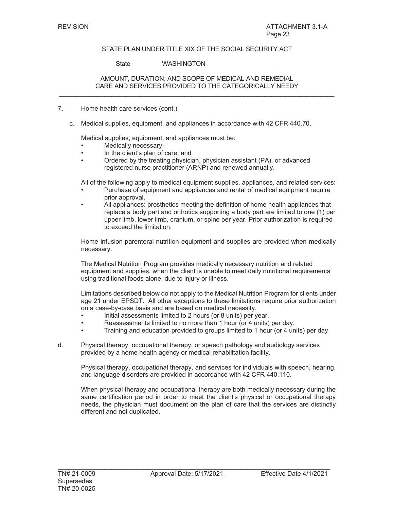State WASHINGTON

### AMOUNT, DURATION, AND SCOPE OF MEDICAL AND REMEDIAL CARE AND SERVICES PROVIDED TO THE CATEGORICALLY NEEDY  $\mathcal{L}_\mathcal{L} = \{ \mathcal{L}_\mathcal{L} = \{ \mathcal{L}_\mathcal{L} = \{ \mathcal{L}_\mathcal{L} = \{ \mathcal{L}_\mathcal{L} = \{ \mathcal{L}_\mathcal{L} = \{ \mathcal{L}_\mathcal{L} = \{ \mathcal{L}_\mathcal{L} = \{ \mathcal{L}_\mathcal{L} = \{ \mathcal{L}_\mathcal{L} = \{ \mathcal{L}_\mathcal{L} = \{ \mathcal{L}_\mathcal{L} = \{ \mathcal{L}_\mathcal{L} = \{ \mathcal{L}_\mathcal{L} = \{ \mathcal{L}_\mathcal{$

- 7. Home health care services (cont.)
	- c. Medical supplies, equipment, and appliances in accordance with 42 CFR 440.70.

Medical supplies, equipment, and appliances must be:

- Medically necessary;
- In the client's plan of care; and
- Ordered by the treating physician, physician assistant (PA), or advanced registered nurse practitioner (ARNP) and renewed annually.

All of the following apply to medical equipment supplies, appliances, and related services:

- Purchase of equipment and appliances and rental of medical equipment require prior approval.
- All appliances: prosthetics meeting the definition of home health appliances that replace a body part and orthotics supporting a body part are limited to one (1) per upper limb, lower limb, cranium, or spine per year. Prior authorization is required to exceed the limitation.

Home infusion-parenteral nutrition equipment and supplies are provided when medically necessary.

The Medical Nutrition Program provides medically necessary nutrition and related equipment and supplies, when the client is unable to meet daily nutritional requirements using traditional foods alone, due to injury or illness.

Limitations described below do not apply to the Medical Nutrition Program for clients under age 21 under EPSDT. All other exceptions to these limitations require prior authorization on a case-by-case basis and are based on medical necessity.

- Initial assessments limited to 2 hours (or 8 units) per year.
- Reassessments limited to no more than 1 hour (or 4 units) per day.
- Training and education provided to groups limited to 1 hour (or 4 units) per day
- d. Physical therapy, occupational therapy, or speech pathology and audiology services provided by a home health agency or medical rehabilitation facility.

Physical therapy, occupational therapy, and services for individuals with speech, hearing, and language disorders are provided in accordance with 42 CFR 440.110.

When physical therapy and occupational therapy are both medically necessary during the same certification period in order to meet the client's physical or occupational therapy needs, the physician must document on the plan of care that the services are distinctly different and not duplicated.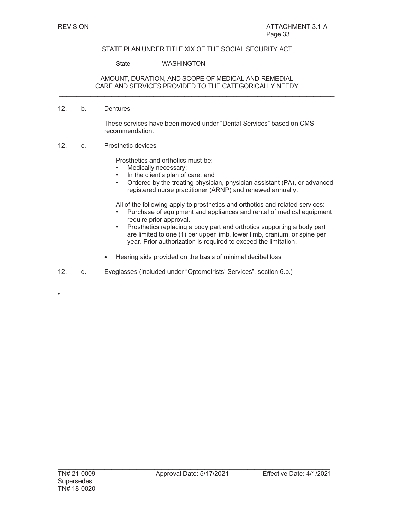State WASHINGTON

### AMOUNT, DURATION, AND SCOPE OF MEDICAL AND REMEDIAL CARE AND SERVICES PROVIDED TO THE CATEGORICALLY NEEDY  $\mathcal{L}_\mathcal{L} = \{ \mathcal{L}_\mathcal{L} = \{ \mathcal{L}_\mathcal{L} = \{ \mathcal{L}_\mathcal{L} = \{ \mathcal{L}_\mathcal{L} = \{ \mathcal{L}_\mathcal{L} = \{ \mathcal{L}_\mathcal{L} = \{ \mathcal{L}_\mathcal{L} = \{ \mathcal{L}_\mathcal{L} = \{ \mathcal{L}_\mathcal{L} = \{ \mathcal{L}_\mathcal{L} = \{ \mathcal{L}_\mathcal{L} = \{ \mathcal{L}_\mathcal{L} = \{ \mathcal{L}_\mathcal{L} = \{ \mathcal{L}_\mathcal{$

#### 12. b. Dentures

These services have been moved under "Dental Services" based on CMS recommendation.

12. c. Prosthetic devices

Prosthetics and orthotics must be:

- Medically necessary;
- In the client's plan of care; and
- Ordered by the treating physician, physician assistant (PA), or advanced registered nurse practitioner (ARNP) and renewed annually.

All of the following apply to prosthetics and orthotics and related services:

- Purchase of equipment and appliances and rental of medical equipment require prior approval.
- Prosthetics replacing a body part and orthotics supporting a body part are limited to one (1) per upper limb, lower limb, cranium, or spine per year. Prior authorization is required to exceed the limitation.
- Hearing aids provided on the basis of minimal decibel loss
- 12. d. Eyeglasses (Included under "Optometrists' Services", section 6.b.)

•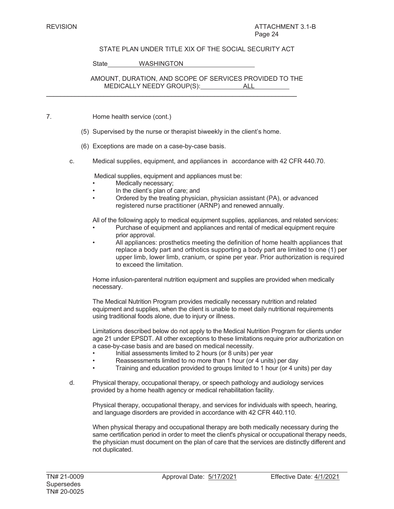State WASHINGTON

AMOUNT, DURATION, AND SCOPE OF SERVICES PROVIDED TO THE MEDICALLY NEEDY GROUP(S): ALL

- 7. Home health service (cont.)
	- (5) Supervised by the nurse or therapist biweekly in the client's home.

 $\mathcal{L}_\mathcal{L} = \mathcal{L}_\mathcal{L} = \mathcal{L}_\mathcal{L} = \mathcal{L}_\mathcal{L} = \mathcal{L}_\mathcal{L} = \mathcal{L}_\mathcal{L} = \mathcal{L}_\mathcal{L} = \mathcal{L}_\mathcal{L} = \mathcal{L}_\mathcal{L} = \mathcal{L}_\mathcal{L} = \mathcal{L}_\mathcal{L} = \mathcal{L}_\mathcal{L} = \mathcal{L}_\mathcal{L} = \mathcal{L}_\mathcal{L} = \mathcal{L}_\mathcal{L} = \mathcal{L}_\mathcal{L} = \mathcal{L}_\mathcal{L}$ 

- (6) Exceptions are made on a case-by-case basis.
- c. Medical supplies, equipment, and appliances in accordance with 42 CFR 440.70.

Medical supplies, equipment and appliances must be:

- Medically necessary;
- In the client's plan of care; and
- Ordered by the treating physician, physician assistant (PA), or advanced registered nurse practitioner (ARNP) and renewed annually.

All of the following apply to medical equipment supplies, appliances, and related services:

- Purchase of equipment and appliances and rental of medical equipment require prior approval.
- All appliances: prosthetics meeting the definition of home health appliances that replace a body part and orthotics supporting a body part are limited to one (1) per upper limb, lower limb, cranium, or spine per year. Prior authorization is required to exceed the limitation.

Home infusion-parenteral nutrition equipment and supplies are provided when medically necessary.

The Medical Nutrition Program provides medically necessary nutrition and related equipment and supplies, when the client is unable to meet daily nutritional requirements using traditional foods alone, due to injury or illness.

Limitations described below do not apply to the Medical Nutrition Program for clients under age 21 under EPSDT. All other exceptions to these limitations require prior authorization on a case-by-case basis and are based on medical necessity.

- Initial assessments limited to 2 hours (or 8 units) per year
- Reassessments limited to no more than 1 hour (or 4 units) per day
- Training and education provided to groups limited to 1 hour (or 4 units) per day
- d. Physical therapy, occupational therapy, or speech pathology and audiology services provided by a home health agency or medical rehabilitation facility.

Physical therapy, occupational therapy, and services for individuals with speech, hearing, and language disorders are provided in accordance with 42 CFR 440.110.

When physical therapy and occupational therapy are both medically necessary during the same certification period in order to meet the client's physical or occupational therapy needs, the physician must document on the plan of care that the services are distinctly different and not duplicated.

 $\overline{\phantom{0}}$